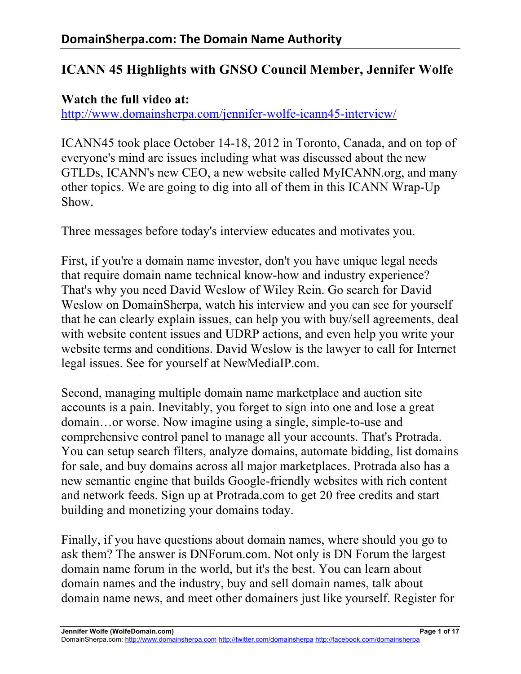# **ICANN 45 Highlights with GNSO Council Member, Jennifer Wolfe**

### **Watch the full video at:**

http://www.domainsherpa.com/jennifer-wolfe-icann45-interview/

ICANN45 took place October 14-18, 2012 in Toronto, Canada, and on top of everyone's mind are issues including what was discussed about the new GTLDs, ICANN's new CEO, a new website called MyICANN.org, and many other topics. We are going to dig into all of them in this ICANN Wrap-Up Show.

Three messages before today's interview educates and motivates you.

First, if you're a domain name investor, don't you have unique legal needs that require domain name technical know-how and industry experience? That's why you need David Weslow of Wiley Rein. Go search for David Weslow on DomainSherpa, watch his interview and you can see for yourself that he can clearly explain issues, can help you with buy/sell agreements, deal with website content issues and UDRP actions, and even help you write your website terms and conditions. David Weslow is the lawyer to call for Internet legal issues. See for yourself at NewMediaIP.com.

Second, managing multiple domain name marketplace and auction site accounts is a pain. Inevitably, you forget to sign into one and lose a great domain…or worse. Now imagine using a single, simple-to-use and comprehensive control panel to manage all your accounts. That's Protrada. You can setup search filters, analyze domains, automate bidding, list domains for sale, and buy domains across all major marketplaces. Protrada also has a new semantic engine that builds Google-friendly websites with rich content and network feeds. Sign up at Protrada.com to get 20 free credits and start building and monetizing your domains today.

Finally, if you have questions about domain names, where should you go to ask them? The answer is DNForum.com. Not only is DN Forum the largest domain name forum in the world, but it's the best. You can learn about domain names and the industry, buy and sell domain names, talk about domain name news, and meet other domainers just like yourself. Register for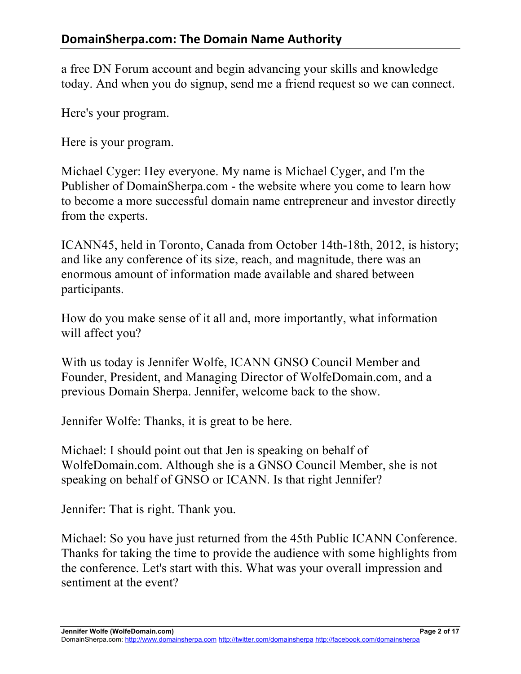a free DN Forum account and begin advancing your skills and knowledge today. And when you do signup, send me a friend request so we can connect.

Here's your program.

Here is your program.

Michael Cyger: Hey everyone. My name is Michael Cyger, and I'm the Publisher of DomainSherpa.com - the website where you come to learn how to become a more successful domain name entrepreneur and investor directly from the experts.

ICANN45, held in Toronto, Canada from October 14th-18th, 2012, is history; and like any conference of its size, reach, and magnitude, there was an enormous amount of information made available and shared between participants.

How do you make sense of it all and, more importantly, what information will affect you?

With us today is Jennifer Wolfe, ICANN GNSO Council Member and Founder, President, and Managing Director of WolfeDomain.com, and a previous Domain Sherpa. Jennifer, welcome back to the show.

Jennifer Wolfe: Thanks, it is great to be here.

Michael: I should point out that Jen is speaking on behalf of WolfeDomain.com. Although she is a GNSO Council Member, she is not speaking on behalf of GNSO or ICANN. Is that right Jennifer?

Jennifer: That is right. Thank you.

Michael: So you have just returned from the 45th Public ICANN Conference. Thanks for taking the time to provide the audience with some highlights from the conference. Let's start with this. What was your overall impression and sentiment at the event?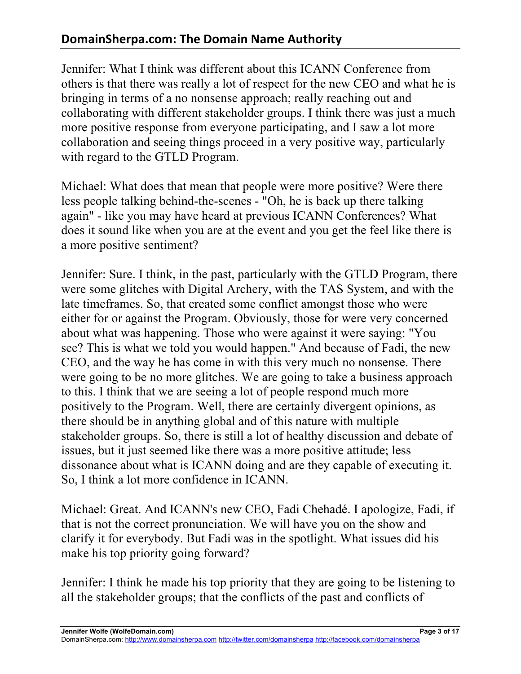Jennifer: What I think was different about this ICANN Conference from others is that there was really a lot of respect for the new CEO and what he is bringing in terms of a no nonsense approach; really reaching out and collaborating with different stakeholder groups. I think there was just a much more positive response from everyone participating, and I saw a lot more collaboration and seeing things proceed in a very positive way, particularly with regard to the GTLD Program.

Michael: What does that mean that people were more positive? Were there less people talking behind-the-scenes - "Oh, he is back up there talking again" - like you may have heard at previous ICANN Conferences? What does it sound like when you are at the event and you get the feel like there is a more positive sentiment?

Jennifer: Sure. I think, in the past, particularly with the GTLD Program, there were some glitches with Digital Archery, with the TAS System, and with the late timeframes. So, that created some conflict amongst those who were either for or against the Program. Obviously, those for were very concerned about what was happening. Those who were against it were saying: "You see? This is what we told you would happen." And because of Fadi, the new CEO, and the way he has come in with this very much no nonsense. There were going to be no more glitches. We are going to take a business approach to this. I think that we are seeing a lot of people respond much more positively to the Program. Well, there are certainly divergent opinions, as there should be in anything global and of this nature with multiple stakeholder groups. So, there is still a lot of healthy discussion and debate of issues, but it just seemed like there was a more positive attitude; less dissonance about what is ICANN doing and are they capable of executing it. So, I think a lot more confidence in ICANN.

Michael: Great. And ICANN's new CEO, Fadi Chehadé. I apologize, Fadi, if that is not the correct pronunciation. We will have you on the show and clarify it for everybody. But Fadi was in the spotlight. What issues did his make his top priority going forward?

Jennifer: I think he made his top priority that they are going to be listening to all the stakeholder groups; that the conflicts of the past and conflicts of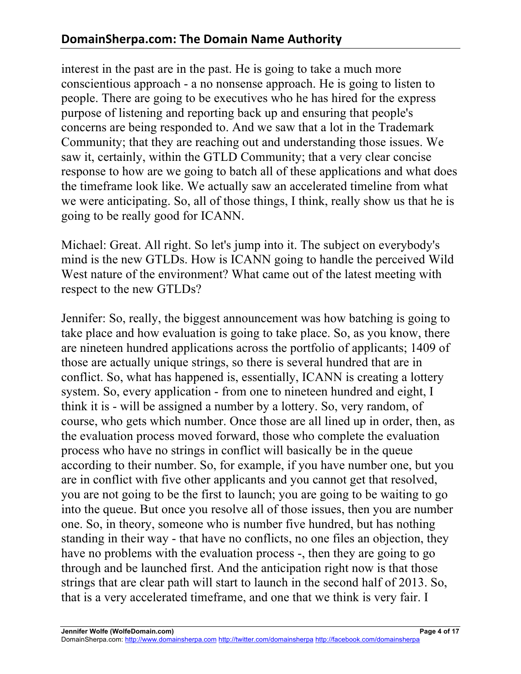interest in the past are in the past. He is going to take a much more conscientious approach - a no nonsense approach. He is going to listen to people. There are going to be executives who he has hired for the express purpose of listening and reporting back up and ensuring that people's concerns are being responded to. And we saw that a lot in the Trademark Community; that they are reaching out and understanding those issues. We saw it, certainly, within the GTLD Community; that a very clear concise response to how are we going to batch all of these applications and what does the timeframe look like. We actually saw an accelerated timeline from what we were anticipating. So, all of those things, I think, really show us that he is going to be really good for ICANN.

Michael: Great. All right. So let's jump into it. The subject on everybody's mind is the new GTLDs. How is ICANN going to handle the perceived Wild West nature of the environment? What came out of the latest meeting with respect to the new GTLDs?

Jennifer: So, really, the biggest announcement was how batching is going to take place and how evaluation is going to take place. So, as you know, there are nineteen hundred applications across the portfolio of applicants; 1409 of those are actually unique strings, so there is several hundred that are in conflict. So, what has happened is, essentially, ICANN is creating a lottery system. So, every application - from one to nineteen hundred and eight, I think it is - will be assigned a number by a lottery. So, very random, of course, who gets which number. Once those are all lined up in order, then, as the evaluation process moved forward, those who complete the evaluation process who have no strings in conflict will basically be in the queue according to their number. So, for example, if you have number one, but you are in conflict with five other applicants and you cannot get that resolved, you are not going to be the first to launch; you are going to be waiting to go into the queue. But once you resolve all of those issues, then you are number one. So, in theory, someone who is number five hundred, but has nothing standing in their way - that have no conflicts, no one files an objection, they have no problems with the evaluation process -, then they are going to go through and be launched first. And the anticipation right now is that those strings that are clear path will start to launch in the second half of 2013. So, that is a very accelerated timeframe, and one that we think is very fair. I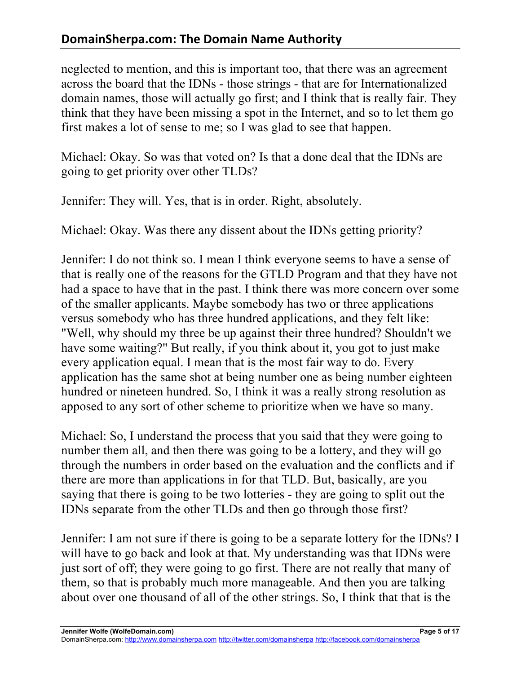neglected to mention, and this is important too, that there was an agreement across the board that the IDNs - those strings - that are for Internationalized domain names, those will actually go first; and I think that is really fair. They think that they have been missing a spot in the Internet, and so to let them go first makes a lot of sense to me; so I was glad to see that happen.

Michael: Okay. So was that voted on? Is that a done deal that the IDNs are going to get priority over other TLDs?

Jennifer: They will. Yes, that is in order. Right, absolutely.

Michael: Okay. Was there any dissent about the IDNs getting priority?

Jennifer: I do not think so. I mean I think everyone seems to have a sense of that is really one of the reasons for the GTLD Program and that they have not had a space to have that in the past. I think there was more concern over some of the smaller applicants. Maybe somebody has two or three applications versus somebody who has three hundred applications, and they felt like: "Well, why should my three be up against their three hundred? Shouldn't we have some waiting?" But really, if you think about it, you got to just make every application equal. I mean that is the most fair way to do. Every application has the same shot at being number one as being number eighteen hundred or nineteen hundred. So, I think it was a really strong resolution as apposed to any sort of other scheme to prioritize when we have so many.

Michael: So, I understand the process that you said that they were going to number them all, and then there was going to be a lottery, and they will go through the numbers in order based on the evaluation and the conflicts and if there are more than applications in for that TLD. But, basically, are you saying that there is going to be two lotteries - they are going to split out the IDNs separate from the other TLDs and then go through those first?

Jennifer: I am not sure if there is going to be a separate lottery for the IDNs? I will have to go back and look at that. My understanding was that IDNs were just sort of off; they were going to go first. There are not really that many of them, so that is probably much more manageable. And then you are talking about over one thousand of all of the other strings. So, I think that that is the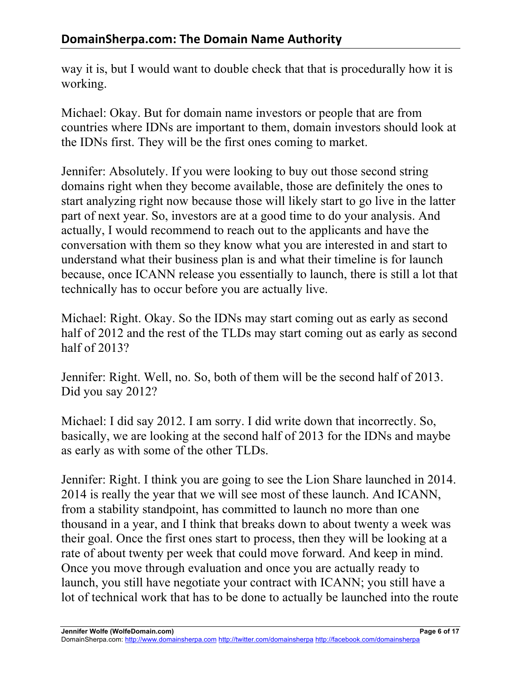way it is, but I would want to double check that that is procedurally how it is working.

Michael: Okay. But for domain name investors or people that are from countries where IDNs are important to them, domain investors should look at the IDNs first. They will be the first ones coming to market.

Jennifer: Absolutely. If you were looking to buy out those second string domains right when they become available, those are definitely the ones to start analyzing right now because those will likely start to go live in the latter part of next year. So, investors are at a good time to do your analysis. And actually, I would recommend to reach out to the applicants and have the conversation with them so they know what you are interested in and start to understand what their business plan is and what their timeline is for launch because, once ICANN release you essentially to launch, there is still a lot that technically has to occur before you are actually live.

Michael: Right. Okay. So the IDNs may start coming out as early as second half of 2012 and the rest of the TLDs may start coming out as early as second half of 2013?

Jennifer: Right. Well, no. So, both of them will be the second half of 2013. Did you say 2012?

Michael: I did say 2012. I am sorry. I did write down that incorrectly. So, basically, we are looking at the second half of 2013 for the IDNs and maybe as early as with some of the other TLDs.

Jennifer: Right. I think you are going to see the Lion Share launched in 2014. 2014 is really the year that we will see most of these launch. And ICANN, from a stability standpoint, has committed to launch no more than one thousand in a year, and I think that breaks down to about twenty a week was their goal. Once the first ones start to process, then they will be looking at a rate of about twenty per week that could move forward. And keep in mind. Once you move through evaluation and once you are actually ready to launch, you still have negotiate your contract with ICANN; you still have a lot of technical work that has to be done to actually be launched into the route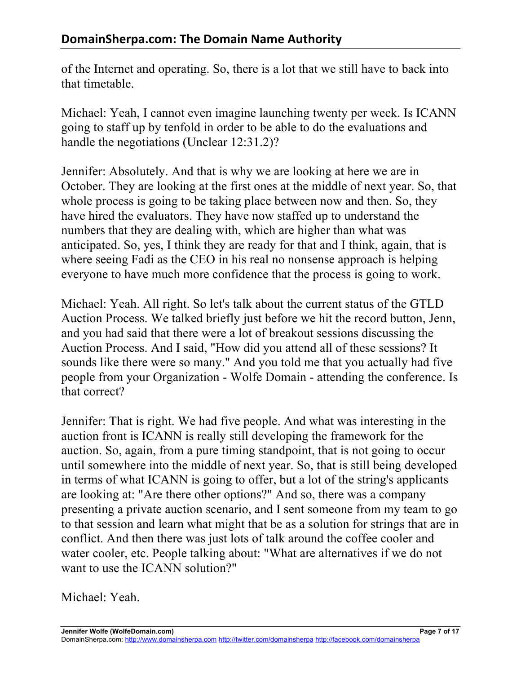of the Internet and operating. So, there is a lot that we still have to back into that timetable.

Michael: Yeah, I cannot even imagine launching twenty per week. Is ICANN going to staff up by tenfold in order to be able to do the evaluations and handle the negotiations (Unclear 12:31.2)?

Jennifer: Absolutely. And that is why we are looking at here we are in October. They are looking at the first ones at the middle of next year. So, that whole process is going to be taking place between now and then. So, they have hired the evaluators. They have now staffed up to understand the numbers that they are dealing with, which are higher than what was anticipated. So, yes, I think they are ready for that and I think, again, that is where seeing Fadi as the CEO in his real no nonsense approach is helping everyone to have much more confidence that the process is going to work.

Michael: Yeah. All right. So let's talk about the current status of the GTLD Auction Process. We talked briefly just before we hit the record button, Jenn, and you had said that there were a lot of breakout sessions discussing the Auction Process. And I said, "How did you attend all of these sessions? It sounds like there were so many." And you told me that you actually had five people from your Organization - Wolfe Domain - attending the conference. Is that correct?

Jennifer: That is right. We had five people. And what was interesting in the auction front is ICANN is really still developing the framework for the auction. So, again, from a pure timing standpoint, that is not going to occur until somewhere into the middle of next year. So, that is still being developed in terms of what ICANN is going to offer, but a lot of the string's applicants are looking at: "Are there other options?" And so, there was a company presenting a private auction scenario, and I sent someone from my team to go to that session and learn what might that be as a solution for strings that are in conflict. And then there was just lots of talk around the coffee cooler and water cooler, etc. People talking about: "What are alternatives if we do not want to use the ICANN solution?"

Michael: Yeah.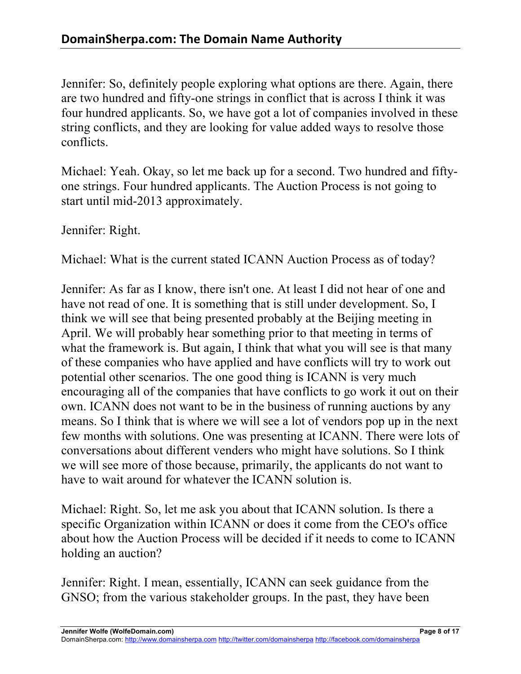Jennifer: So, definitely people exploring what options are there. Again, there are two hundred and fifty-one strings in conflict that is across I think it was four hundred applicants. So, we have got a lot of companies involved in these string conflicts, and they are looking for value added ways to resolve those conflicts.

Michael: Yeah. Okay, so let me back up for a second. Two hundred and fiftyone strings. Four hundred applicants. The Auction Process is not going to start until mid-2013 approximately.

Jennifer: Right.

Michael: What is the current stated ICANN Auction Process as of today?

Jennifer: As far as I know, there isn't one. At least I did not hear of one and have not read of one. It is something that is still under development. So, I think we will see that being presented probably at the Beijing meeting in April. We will probably hear something prior to that meeting in terms of what the framework is. But again, I think that what you will see is that many of these companies who have applied and have conflicts will try to work out potential other scenarios. The one good thing is ICANN is very much encouraging all of the companies that have conflicts to go work it out on their own. ICANN does not want to be in the business of running auctions by any means. So I think that is where we will see a lot of vendors pop up in the next few months with solutions. One was presenting at ICANN. There were lots of conversations about different venders who might have solutions. So I think we will see more of those because, primarily, the applicants do not want to have to wait around for whatever the ICANN solution is.

Michael: Right. So, let me ask you about that ICANN solution. Is there a specific Organization within ICANN or does it come from the CEO's office about how the Auction Process will be decided if it needs to come to ICANN holding an auction?

Jennifer: Right. I mean, essentially, ICANN can seek guidance from the GNSO; from the various stakeholder groups. In the past, they have been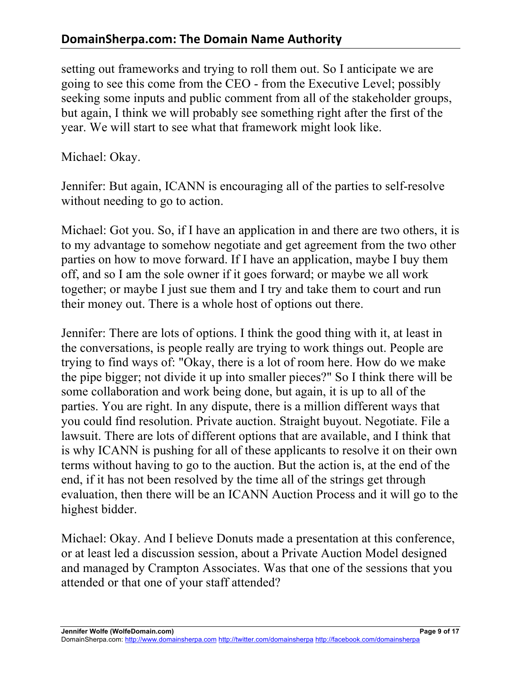setting out frameworks and trying to roll them out. So I anticipate we are going to see this come from the CEO - from the Executive Level; possibly seeking some inputs and public comment from all of the stakeholder groups, but again, I think we will probably see something right after the first of the year. We will start to see what that framework might look like.

Michael: Okay.

Jennifer: But again, ICANN is encouraging all of the parties to self-resolve without needing to go to action.

Michael: Got you. So, if I have an application in and there are two others, it is to my advantage to somehow negotiate and get agreement from the two other parties on how to move forward. If I have an application, maybe I buy them off, and so I am the sole owner if it goes forward; or maybe we all work together; or maybe I just sue them and I try and take them to court and run their money out. There is a whole host of options out there.

Jennifer: There are lots of options. I think the good thing with it, at least in the conversations, is people really are trying to work things out. People are trying to find ways of: "Okay, there is a lot of room here. How do we make the pipe bigger; not divide it up into smaller pieces?" So I think there will be some collaboration and work being done, but again, it is up to all of the parties. You are right. In any dispute, there is a million different ways that you could find resolution. Private auction. Straight buyout. Negotiate. File a lawsuit. There are lots of different options that are available, and I think that is why ICANN is pushing for all of these applicants to resolve it on their own terms without having to go to the auction. But the action is, at the end of the end, if it has not been resolved by the time all of the strings get through evaluation, then there will be an ICANN Auction Process and it will go to the highest bidder.

Michael: Okay. And I believe Donuts made a presentation at this conference, or at least led a discussion session, about a Private Auction Model designed and managed by Crampton Associates. Was that one of the sessions that you attended or that one of your staff attended?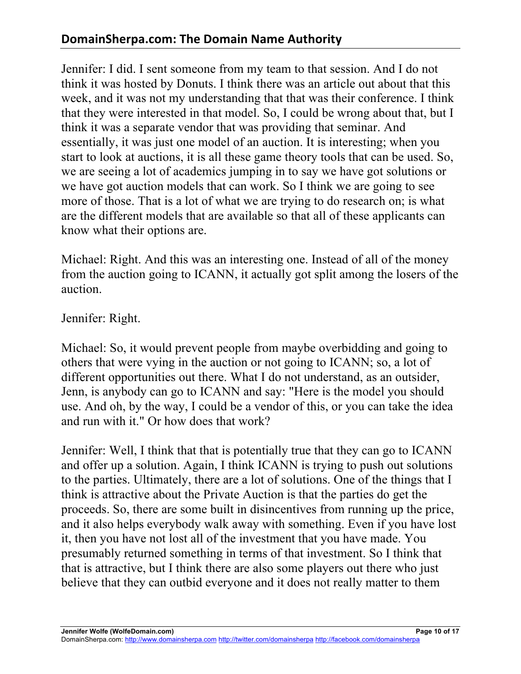Jennifer: I did. I sent someone from my team to that session. And I do not think it was hosted by Donuts. I think there was an article out about that this week, and it was not my understanding that that was their conference. I think that they were interested in that model. So, I could be wrong about that, but I think it was a separate vendor that was providing that seminar. And essentially, it was just one model of an auction. It is interesting; when you start to look at auctions, it is all these game theory tools that can be used. So, we are seeing a lot of academics jumping in to say we have got solutions or we have got auction models that can work. So I think we are going to see more of those. That is a lot of what we are trying to do research on; is what are the different models that are available so that all of these applicants can know what their options are.

Michael: Right. And this was an interesting one. Instead of all of the money from the auction going to ICANN, it actually got split among the losers of the auction.

Jennifer: Right.

Michael: So, it would prevent people from maybe overbidding and going to others that were vying in the auction or not going to ICANN; so, a lot of different opportunities out there. What I do not understand, as an outsider, Jenn, is anybody can go to ICANN and say: "Here is the model you should use. And oh, by the way, I could be a vendor of this, or you can take the idea and run with it." Or how does that work?

Jennifer: Well, I think that that is potentially true that they can go to ICANN and offer up a solution. Again, I think ICANN is trying to push out solutions to the parties. Ultimately, there are a lot of solutions. One of the things that I think is attractive about the Private Auction is that the parties do get the proceeds. So, there are some built in disincentives from running up the price, and it also helps everybody walk away with something. Even if you have lost it, then you have not lost all of the investment that you have made. You presumably returned something in terms of that investment. So I think that that is attractive, but I think there are also some players out there who just believe that they can outbid everyone and it does not really matter to them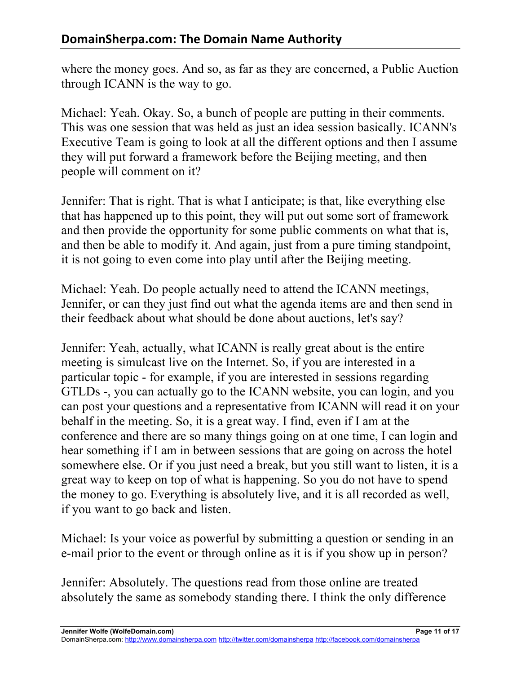where the money goes. And so, as far as they are concerned, a Public Auction through ICANN is the way to go.

Michael: Yeah. Okay. So, a bunch of people are putting in their comments. This was one session that was held as just an idea session basically. ICANN's Executive Team is going to look at all the different options and then I assume they will put forward a framework before the Beijing meeting, and then people will comment on it?

Jennifer: That is right. That is what I anticipate; is that, like everything else that has happened up to this point, they will put out some sort of framework and then provide the opportunity for some public comments on what that is, and then be able to modify it. And again, just from a pure timing standpoint, it is not going to even come into play until after the Beijing meeting.

Michael: Yeah. Do people actually need to attend the ICANN meetings, Jennifer, or can they just find out what the agenda items are and then send in their feedback about what should be done about auctions, let's say?

Jennifer: Yeah, actually, what ICANN is really great about is the entire meeting is simulcast live on the Internet. So, if you are interested in a particular topic - for example, if you are interested in sessions regarding GTLDs -, you can actually go to the ICANN website, you can login, and you can post your questions and a representative from ICANN will read it on your behalf in the meeting. So, it is a great way. I find, even if I am at the conference and there are so many things going on at one time, I can login and hear something if I am in between sessions that are going on across the hotel somewhere else. Or if you just need a break, but you still want to listen, it is a great way to keep on top of what is happening. So you do not have to spend the money to go. Everything is absolutely live, and it is all recorded as well, if you want to go back and listen.

Michael: Is your voice as powerful by submitting a question or sending in an e-mail prior to the event or through online as it is if you show up in person?

Jennifer: Absolutely. The questions read from those online are treated absolutely the same as somebody standing there. I think the only difference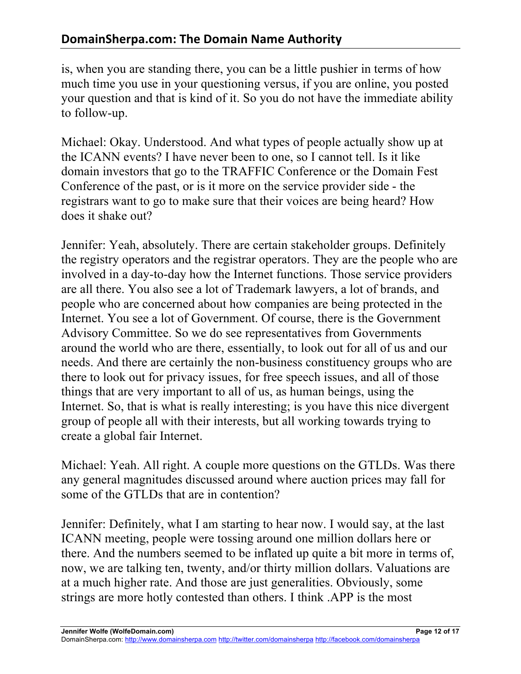is, when you are standing there, you can be a little pushier in terms of how much time you use in your questioning versus, if you are online, you posted your question and that is kind of it. So you do not have the immediate ability to follow-up.

Michael: Okay. Understood. And what types of people actually show up at the ICANN events? I have never been to one, so I cannot tell. Is it like domain investors that go to the TRAFFIC Conference or the Domain Fest Conference of the past, or is it more on the service provider side - the registrars want to go to make sure that their voices are being heard? How does it shake out?

Jennifer: Yeah, absolutely. There are certain stakeholder groups. Definitely the registry operators and the registrar operators. They are the people who are involved in a day-to-day how the Internet functions. Those service providers are all there. You also see a lot of Trademark lawyers, a lot of brands, and people who are concerned about how companies are being protected in the Internet. You see a lot of Government. Of course, there is the Government Advisory Committee. So we do see representatives from Governments around the world who are there, essentially, to look out for all of us and our needs. And there are certainly the non-business constituency groups who are there to look out for privacy issues, for free speech issues, and all of those things that are very important to all of us, as human beings, using the Internet. So, that is what is really interesting; is you have this nice divergent group of people all with their interests, but all working towards trying to create a global fair Internet.

Michael: Yeah. All right. A couple more questions on the GTLDs. Was there any general magnitudes discussed around where auction prices may fall for some of the GTLDs that are in contention?

Jennifer: Definitely, what I am starting to hear now. I would say, at the last ICANN meeting, people were tossing around one million dollars here or there. And the numbers seemed to be inflated up quite a bit more in terms of, now, we are talking ten, twenty, and/or thirty million dollars. Valuations are at a much higher rate. And those are just generalities. Obviously, some strings are more hotly contested than others. I think .APP is the most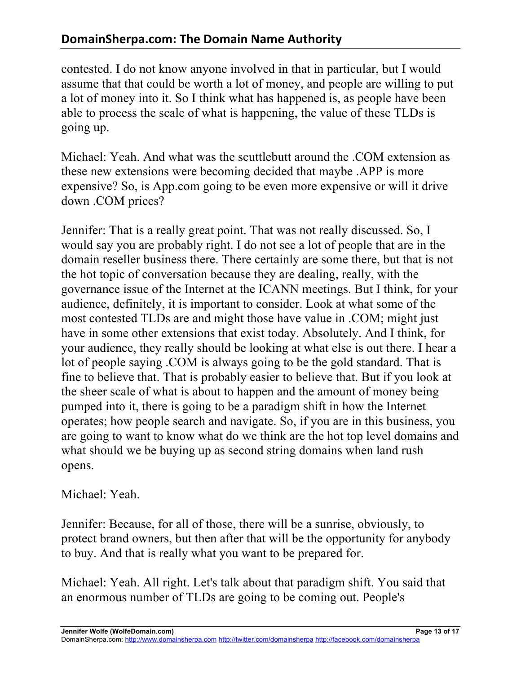contested. I do not know anyone involved in that in particular, but I would assume that that could be worth a lot of money, and people are willing to put a lot of money into it. So I think what has happened is, as people have been able to process the scale of what is happening, the value of these TLDs is going up.

Michael: Yeah. And what was the scuttlebutt around the .COM extension as these new extensions were becoming decided that maybe .APP is more expensive? So, is App.com going to be even more expensive or will it drive down .COM prices?

Jennifer: That is a really great point. That was not really discussed. So, I would say you are probably right. I do not see a lot of people that are in the domain reseller business there. There certainly are some there, but that is not the hot topic of conversation because they are dealing, really, with the governance issue of the Internet at the ICANN meetings. But I think, for your audience, definitely, it is important to consider. Look at what some of the most contested TLDs are and might those have value in .COM; might just have in some other extensions that exist today. Absolutely. And I think, for your audience, they really should be looking at what else is out there. I hear a lot of people saying .COM is always going to be the gold standard. That is fine to believe that. That is probably easier to believe that. But if you look at the sheer scale of what is about to happen and the amount of money being pumped into it, there is going to be a paradigm shift in how the Internet operates; how people search and navigate. So, if you are in this business, you are going to want to know what do we think are the hot top level domains and what should we be buying up as second string domains when land rush opens.

#### Michael: Yeah.

Jennifer: Because, for all of those, there will be a sunrise, obviously, to protect brand owners, but then after that will be the opportunity for anybody to buy. And that is really what you want to be prepared for.

Michael: Yeah. All right. Let's talk about that paradigm shift. You said that an enormous number of TLDs are going to be coming out. People's

DomainSherpa.com: http://www.domainsherpa.com http://twitter.com/domainsherpa http://facebook.com/domainsherpa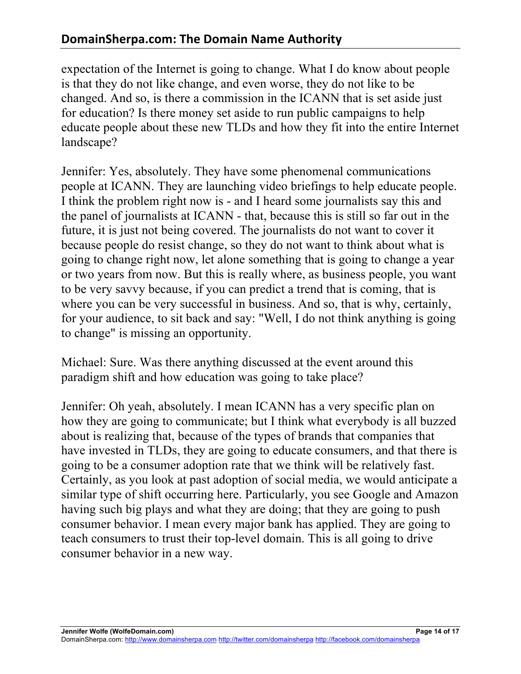expectation of the Internet is going to change. What I do know about people is that they do not like change, and even worse, they do not like to be changed. And so, is there a commission in the ICANN that is set aside just for education? Is there money set aside to run public campaigns to help educate people about these new TLDs and how they fit into the entire Internet landscape?

Jennifer: Yes, absolutely. They have some phenomenal communications people at ICANN. They are launching video briefings to help educate people. I think the problem right now is - and I heard some journalists say this and the panel of journalists at ICANN - that, because this is still so far out in the future, it is just not being covered. The journalists do not want to cover it because people do resist change, so they do not want to think about what is going to change right now, let alone something that is going to change a year or two years from now. But this is really where, as business people, you want to be very savvy because, if you can predict a trend that is coming, that is where you can be very successful in business. And so, that is why, certainly, for your audience, to sit back and say: "Well, I do not think anything is going to change" is missing an opportunity.

Michael: Sure. Was there anything discussed at the event around this paradigm shift and how education was going to take place?

Jennifer: Oh yeah, absolutely. I mean ICANN has a very specific plan on how they are going to communicate; but I think what everybody is all buzzed about is realizing that, because of the types of brands that companies that have invested in TLDs, they are going to educate consumers, and that there is going to be a consumer adoption rate that we think will be relatively fast. Certainly, as you look at past adoption of social media, we would anticipate a similar type of shift occurring here. Particularly, you see Google and Amazon having such big plays and what they are doing; that they are going to push consumer behavior. I mean every major bank has applied. They are going to teach consumers to trust their top-level domain. This is all going to drive consumer behavior in a new way.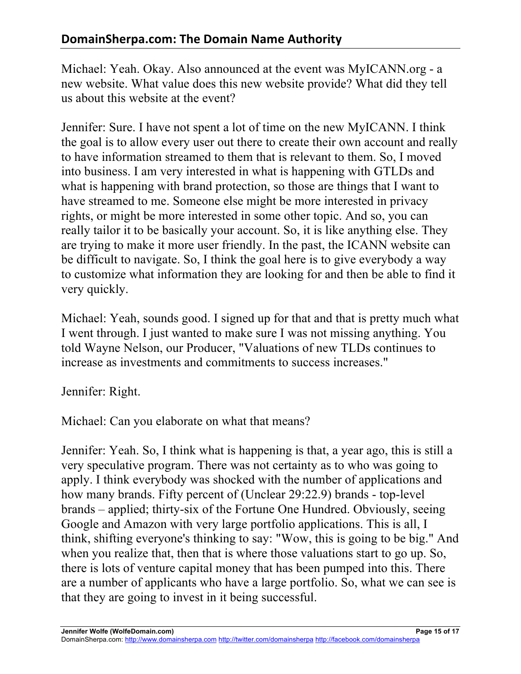Michael: Yeah. Okay. Also announced at the event was MyICANN.org - a new website. What value does this new website provide? What did they tell us about this website at the event?

Jennifer: Sure. I have not spent a lot of time on the new MyICANN. I think the goal is to allow every user out there to create their own account and really to have information streamed to them that is relevant to them. So, I moved into business. I am very interested in what is happening with GTLDs and what is happening with brand protection, so those are things that I want to have streamed to me. Someone else might be more interested in privacy rights, or might be more interested in some other topic. And so, you can really tailor it to be basically your account. So, it is like anything else. They are trying to make it more user friendly. In the past, the ICANN website can be difficult to navigate. So, I think the goal here is to give everybody a way to customize what information they are looking for and then be able to find it very quickly.

Michael: Yeah, sounds good. I signed up for that and that is pretty much what I went through. I just wanted to make sure I was not missing anything. You told Wayne Nelson, our Producer, "Valuations of new TLDs continues to increase as investments and commitments to success increases."

Jennifer: Right.

Michael: Can you elaborate on what that means?

Jennifer: Yeah. So, I think what is happening is that, a year ago, this is still a very speculative program. There was not certainty as to who was going to apply. I think everybody was shocked with the number of applications and how many brands. Fifty percent of (Unclear 29:22.9) brands - top-level brands – applied; thirty-six of the Fortune One Hundred. Obviously, seeing Google and Amazon with very large portfolio applications. This is all, I think, shifting everyone's thinking to say: "Wow, this is going to be big." And when you realize that, then that is where those valuations start to go up. So, there is lots of venture capital money that has been pumped into this. There are a number of applicants who have a large portfolio. So, what we can see is that they are going to invest in it being successful.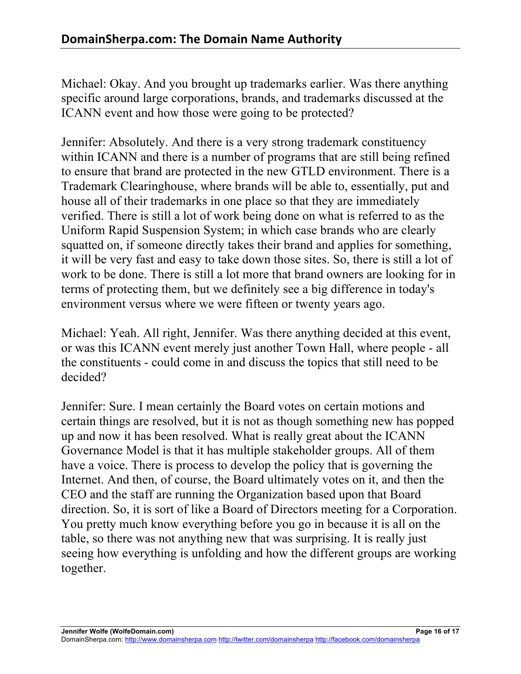Michael: Okay. And you brought up trademarks earlier. Was there anything specific around large corporations, brands, and trademarks discussed at the ICANN event and how those were going to be protected?

Jennifer: Absolutely. And there is a very strong trademark constituency within ICANN and there is a number of programs that are still being refined to ensure that brand are protected in the new GTLD environment. There is a Trademark Clearinghouse, where brands will be able to, essentially, put and house all of their trademarks in one place so that they are immediately verified. There is still a lot of work being done on what is referred to as the Uniform Rapid Suspension System; in which case brands who are clearly squatted on, if someone directly takes their brand and applies for something, it will be very fast and easy to take down those sites. So, there is still a lot of work to be done. There is still a lot more that brand owners are looking for in terms of protecting them, but we definitely see a big difference in today's environment versus where we were fifteen or twenty years ago.

Michael: Yeah. All right, Jennifer. Was there anything decided at this event, or was this ICANN event merely just another Town Hall, where people - all the constituents - could come in and discuss the topics that still need to be decided?

Jennifer: Sure. I mean certainly the Board votes on certain motions and certain things are resolved, but it is not as though something new has popped up and now it has been resolved. What is really great about the ICANN Governance Model is that it has multiple stakeholder groups. All of them have a voice. There is process to develop the policy that is governing the Internet. And then, of course, the Board ultimately votes on it, and then the CEO and the staff are running the Organization based upon that Board direction. So, it is sort of like a Board of Directors meeting for a Corporation. You pretty much know everything before you go in because it is all on the table, so there was not anything new that was surprising. It is really just seeing how everything is unfolding and how the different groups are working together.